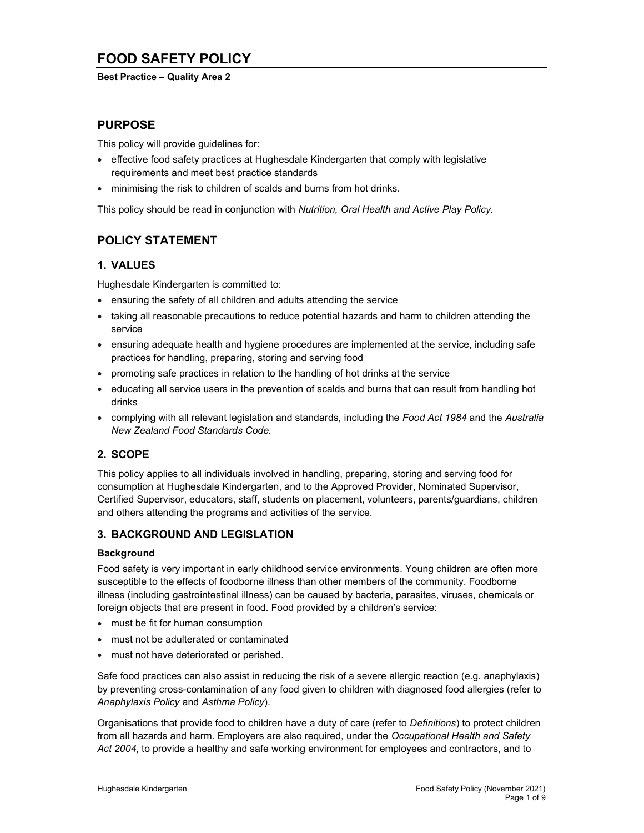# FOOD SAFETY POLICY

### Best Practice – Quality Area 2

## PURPOSE

This policy will provide guidelines for:

- effective food safety practices at Hughesdale Kindergarten that comply with legislative requirements and meet best practice standards
- minimising the risk to children of scalds and burns from hot drinks.

This policy should be read in conjunction with Nutrition, Oral Health and Active Play Policy.

# POLICY STATEMENT

## 1. VALUES

Hughesdale Kindergarten is committed to:

- ensuring the safety of all children and adults attending the service
- taking all reasonable precautions to reduce potential hazards and harm to children attending the service
- ensuring adequate health and hygiene procedures are implemented at the service, including safe practices for handling, preparing, storing and serving food
- promoting safe practices in relation to the handling of hot drinks at the service
- educating all service users in the prevention of scalds and burns that can result from handling hot drinks
- complying with all relevant legislation and standards, including the Food Act 1984 and the Australia New Zealand Food Standards Code.

## 2. SCOPE

This policy applies to all individuals involved in handling, preparing, storing and serving food for consumption at Hughesdale Kindergarten, and to the Approved Provider, Nominated Supervisor, Certified Supervisor, educators, staff, students on placement, volunteers, parents/guardians, children and others attending the programs and activities of the service.

## 3. BACKGROUND AND LEGISLATION

### Background

Food safety is very important in early childhood service environments. Young children are often more susceptible to the effects of foodborne illness than other members of the community. Foodborne illness (including gastrointestinal illness) can be caused by bacteria, parasites, viruses, chemicals or foreign objects that are present in food. Food provided by a children's service:

- must be fit for human consumption
- must not be adulterated or contaminated
- must not have deteriorated or perished.

Safe food practices can also assist in reducing the risk of a severe allergic reaction (e.g. anaphylaxis) by preventing cross-contamination of any food given to children with diagnosed food allergies (refer to Anaphylaxis Policy and Asthma Policy).

Organisations that provide food to children have a duty of care (refer to Definitions) to protect children from all hazards and harm. Employers are also required, under the Occupational Health and Safety Act 2004, to provide a healthy and safe working environment for employees and contractors, and to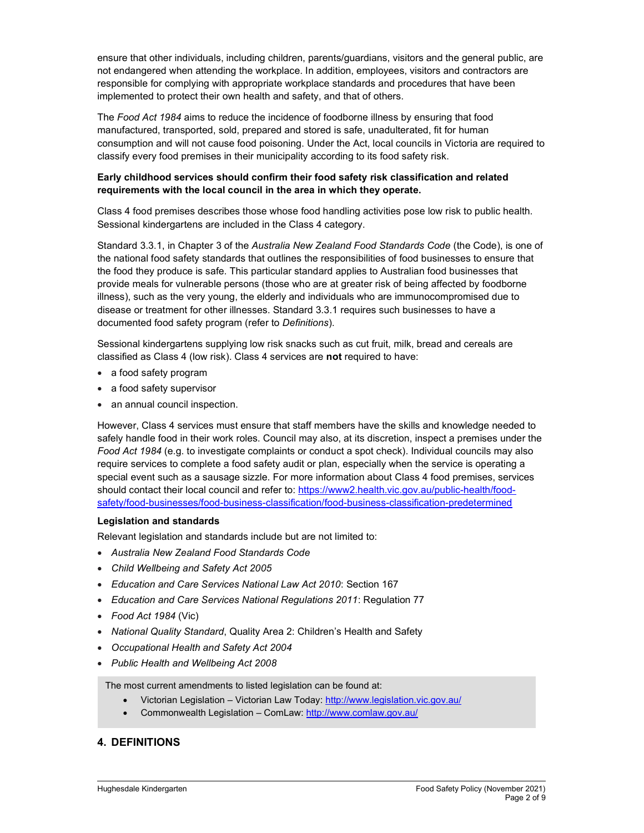ensure that other individuals, including children, parents/guardians, visitors and the general public, are not endangered when attending the workplace. In addition, employees, visitors and contractors are responsible for complying with appropriate workplace standards and procedures that have been implemented to protect their own health and safety, and that of others.

The Food Act 1984 aims to reduce the incidence of foodborne illness by ensuring that food manufactured, transported, sold, prepared and stored is safe, unadulterated, fit for human consumption and will not cause food poisoning. Under the Act, local councils in Victoria are required to classify every food premises in their municipality according to its food safety risk.

### Early childhood services should confirm their food safety risk classification and related requirements with the local council in the area in which they operate.

Class 4 food premises describes those whose food handling activities pose low risk to public health. Sessional kindergartens are included in the Class 4 category.

Standard 3.3.1, in Chapter 3 of the Australia New Zealand Food Standards Code (the Code), is one of the national food safety standards that outlines the responsibilities of food businesses to ensure that the food they produce is safe. This particular standard applies to Australian food businesses that provide meals for vulnerable persons (those who are at greater risk of being affected by foodborne illness), such as the very young, the elderly and individuals who are immunocompromised due to disease or treatment for other illnesses. Standard 3.3.1 requires such businesses to have a documented food safety program (refer to Definitions).

Sessional kindergartens supplying low risk snacks such as cut fruit, milk, bread and cereals are classified as Class 4 (low risk). Class 4 services are not required to have:

- a food safety program
- a food safety supervisor
- an annual council inspection.

However, Class 4 services must ensure that staff members have the skills and knowledge needed to safely handle food in their work roles. Council may also, at its discretion, inspect a premises under the Food Act 1984 (e.g. to investigate complaints or conduct a spot check). Individual councils may also require services to complete a food safety audit or plan, especially when the service is operating a special event such as a sausage sizzle. For more information about Class 4 food premises, services should contact their local council and refer to: https://www2.health.vic.gov.au/public-health/foodsafety/food-businesses/food-business-classification/food-business-classification-predetermined

### Legislation and standards

Relevant legislation and standards include but are not limited to:

- Australia New Zealand Food Standards Code
- Child Wellbeing and Safety Act 2005
- Education and Care Services National Law Act 2010: Section 167
- Education and Care Services National Regulations 2011: Regulation 77
- Food Act 1984 (Vic)
- National Quality Standard, Quality Area 2: Children's Health and Safety
- Occupational Health and Safety Act 2004
- Public Health and Wellbeing Act 2008

The most current amendments to listed legislation can be found at:

- Victorian Legislation Victorian Law Today: http://www.legislation.vic.gov.au/
- Commonwealth Legislation ComLaw: http://www.comlaw.gov.au/

## 4. DEFINITIONS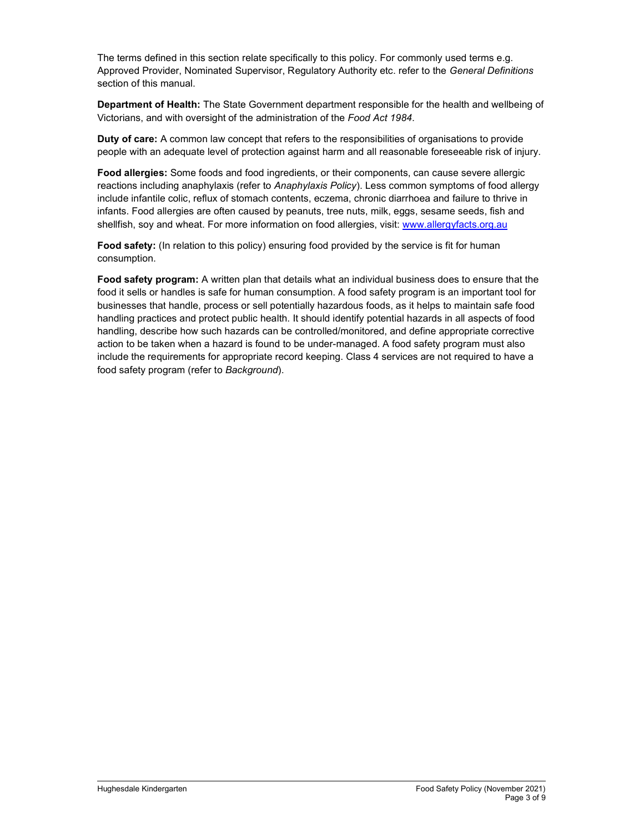The terms defined in this section relate specifically to this policy. For commonly used terms e.g. Approved Provider, Nominated Supervisor, Regulatory Authority etc. refer to the General Definitions section of this manual.

Department of Health: The State Government department responsible for the health and wellbeing of Victorians, and with oversight of the administration of the Food Act 1984.

Duty of care: A common law concept that refers to the responsibilities of organisations to provide people with an adequate level of protection against harm and all reasonable foreseeable risk of injury.

Food allergies: Some foods and food ingredients, or their components, can cause severe allergic reactions including anaphylaxis (refer to Anaphylaxis Policy). Less common symptoms of food allergy include infantile colic, reflux of stomach contents, eczema, chronic diarrhoea and failure to thrive in infants. Food allergies are often caused by peanuts, tree nuts, milk, eggs, sesame seeds, fish and shellfish, soy and wheat. For more information on food allergies, visit: www.allergyfacts.org.au

Food safety: (In relation to this policy) ensuring food provided by the service is fit for human consumption.

Food safety program: A written plan that details what an individual business does to ensure that the food it sells or handles is safe for human consumption. A food safety program is an important tool for businesses that handle, process or sell potentially hazardous foods, as it helps to maintain safe food handling practices and protect public health. It should identify potential hazards in all aspects of food handling, describe how such hazards can be controlled/monitored, and define appropriate corrective action to be taken when a hazard is found to be under-managed. A food safety program must also include the requirements for appropriate record keeping. Class 4 services are not required to have a food safety program (refer to Background).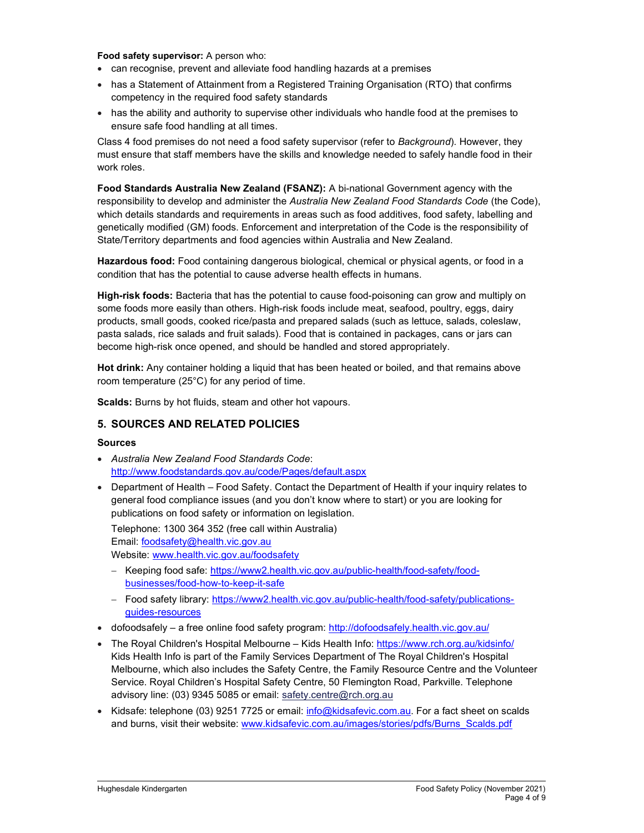#### Food safety supervisor: A person who:

- can recognise, prevent and alleviate food handling hazards at a premises
- has a Statement of Attainment from a Registered Training Organisation (RTO) that confirms competency in the required food safety standards
- has the ability and authority to supervise other individuals who handle food at the premises to ensure safe food handling at all times.

Class 4 food premises do not need a food safety supervisor (refer to Background). However, they must ensure that staff members have the skills and knowledge needed to safely handle food in their work roles.

Food Standards Australia New Zealand (FSANZ): A bi-national Government agency with the responsibility to develop and administer the Australia New Zealand Food Standards Code (the Code), which details standards and requirements in areas such as food additives, food safety, labelling and genetically modified (GM) foods. Enforcement and interpretation of the Code is the responsibility of State/Territory departments and food agencies within Australia and New Zealand.

Hazardous food: Food containing dangerous biological, chemical or physical agents, or food in a condition that has the potential to cause adverse health effects in humans.

High-risk foods: Bacteria that has the potential to cause food-poisoning can grow and multiply on some foods more easily than others. High-risk foods include meat, seafood, poultry, eggs, dairy products, small goods, cooked rice/pasta and prepared salads (such as lettuce, salads, coleslaw, pasta salads, rice salads and fruit salads). Food that is contained in packages, cans or jars can become high-risk once opened, and should be handled and stored appropriately.

Hot drink: Any container holding a liquid that has been heated or boiled, and that remains above room temperature (25°C) for any period of time.

Scalds: Burns by hot fluids, steam and other hot vapours.

## 5. SOURCES AND RELATED POLICIES

#### Sources

- Australia New Zealand Food Standards Code: http://www.foodstandards.gov.au/code/Pages/default.aspx
- Department of Health Food Safety. Contact the Department of Health if your inquiry relates to general food compliance issues (and you don't know where to start) or you are looking for publications on food safety or information on legislation.

Telephone: 1300 364 352 (free call within Australia) Email: foodsafety@health.vic.gov.au Website: www.health.vic.gov.au/foodsafety

- Keeping food safe: https://www2.health.vic.gov.au/public-health/food-safety/foodbusinesses/food-how-to-keep-it-safe
- Food safety library: https://www2.health.vic.gov.au/public-health/food-safety/publicationsguides-resources
- dofoodsafely a free online food safety program: http://dofoodsafely.health.vic.gov.au/
- The Royal Children's Hospital Melbourne Kids Health Info: https://www.rch.org.au/kidsinfo/ Kids Health Info is part of the Family Services Department of The Royal Children's Hospital Melbourne, which also includes the Safety Centre, the Family Resource Centre and the Volunteer Service. Royal Children's Hospital Safety Centre, 50 Flemington Road, Parkville. Telephone advisory line: (03) 9345 5085 or email: safety.centre@rch.org.au
- Kidsafe: telephone (03) 9251 7725 or email: info@kidsafevic.com.au. For a fact sheet on scalds and burns, visit their website: www.kidsafevic.com.au/images/stories/pdfs/Burns\_Scalds.pdf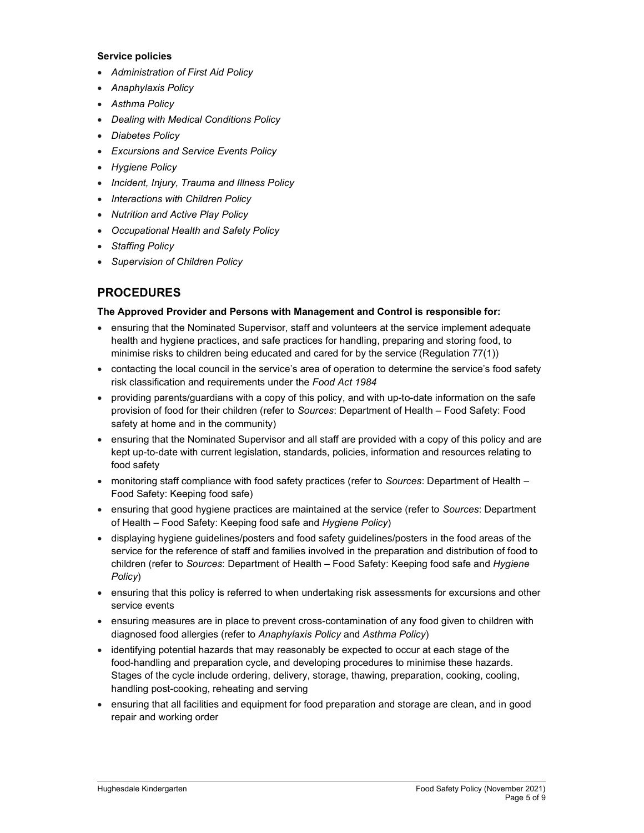#### Service policies

- Administration of First Aid Policy
- Anaphylaxis Policy
- Asthma Policy
- Dealing with Medical Conditions Policy
- Diabetes Policy
- Excursions and Service Events Policy
- Hygiene Policy
- Incident, Injury, Trauma and Illness Policy
- Interactions with Children Policy
- Nutrition and Active Play Policy
- Occupational Health and Safety Policy
- Staffing Policy
- Supervision of Children Policy

# PROCEDURES

### The Approved Provider and Persons with Management and Control is responsible for:

- ensuring that the Nominated Supervisor, staff and volunteers at the service implement adequate health and hygiene practices, and safe practices for handling, preparing and storing food, to minimise risks to children being educated and cared for by the service (Regulation 77(1))
- contacting the local council in the service's area of operation to determine the service's food safety risk classification and requirements under the Food Act 1984
- providing parents/guardians with a copy of this policy, and with up-to-date information on the safe provision of food for their children (refer to Sources: Department of Health – Food Safety: Food safety at home and in the community)
- ensuring that the Nominated Supervisor and all staff are provided with a copy of this policy and are kept up-to-date with current legislation, standards, policies, information and resources relating to food safety
- monitoring staff compliance with food safety practices (refer to Sources: Department of Health Food Safety: Keeping food safe)
- ensuring that good hygiene practices are maintained at the service (refer to Sources: Department of Health – Food Safety: Keeping food safe and Hygiene Policy)
- displaying hygiene guidelines/posters and food safety guidelines/posters in the food areas of the service for the reference of staff and families involved in the preparation and distribution of food to children (refer to Sources: Department of Health – Food Safety: Keeping food safe and Hygiene Policy)
- ensuring that this policy is referred to when undertaking risk assessments for excursions and other service events
- ensuring measures are in place to prevent cross-contamination of any food given to children with diagnosed food allergies (refer to Anaphylaxis Policy and Asthma Policy)
- identifying potential hazards that may reasonably be expected to occur at each stage of the food-handling and preparation cycle, and developing procedures to minimise these hazards. Stages of the cycle include ordering, delivery, storage, thawing, preparation, cooking, cooling, handling post-cooking, reheating and serving
- ensuring that all facilities and equipment for food preparation and storage are clean, and in good repair and working order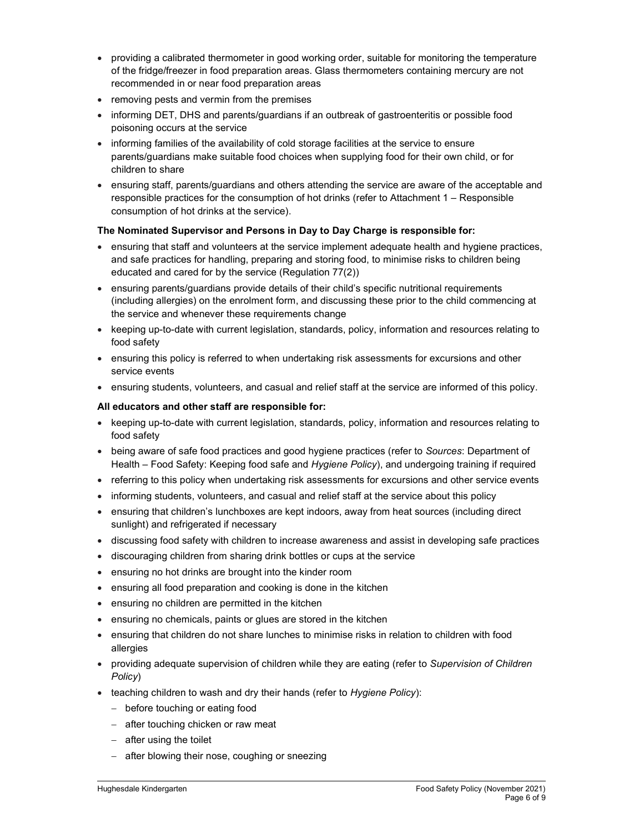- providing a calibrated thermometer in good working order, suitable for monitoring the temperature of the fridge/freezer in food preparation areas. Glass thermometers containing mercury are not recommended in or near food preparation areas
- removing pests and vermin from the premises
- informing DET, DHS and parents/guardians if an outbreak of gastroenteritis or possible food poisoning occurs at the service
- informing families of the availability of cold storage facilities at the service to ensure parents/guardians make suitable food choices when supplying food for their own child, or for children to share
- ensuring staff, parents/guardians and others attending the service are aware of the acceptable and responsible practices for the consumption of hot drinks (refer to Attachment 1 – Responsible consumption of hot drinks at the service).

## The Nominated Supervisor and Persons in Day to Day Charge is responsible for:

- ensuring that staff and volunteers at the service implement adequate health and hygiene practices, and safe practices for handling, preparing and storing food, to minimise risks to children being educated and cared for by the service (Regulation 77(2))
- ensuring parents/guardians provide details of their child's specific nutritional requirements (including allergies) on the enrolment form, and discussing these prior to the child commencing at the service and whenever these requirements change
- keeping up-to-date with current legislation, standards, policy, information and resources relating to food safety
- ensuring this policy is referred to when undertaking risk assessments for excursions and other service events
- ensuring students, volunteers, and casual and relief staff at the service are informed of this policy.

### All educators and other staff are responsible for:

- keeping up-to-date with current legislation, standards, policy, information and resources relating to food safety
- being aware of safe food practices and good hygiene practices (refer to Sources: Department of Health – Food Safety: Keeping food safe and *Hygiene Policy*), and undergoing training if required
- referring to this policy when undertaking risk assessments for excursions and other service events
- informing students, volunteers, and casual and relief staff at the service about this policy
- ensuring that children's lunchboxes are kept indoors, away from heat sources (including direct sunlight) and refrigerated if necessary
- discussing food safety with children to increase awareness and assist in developing safe practices
- discouraging children from sharing drink bottles or cups at the service
- ensuring no hot drinks are brought into the kinder room
- ensuring all food preparation and cooking is done in the kitchen
- ensuring no children are permitted in the kitchen
- ensuring no chemicals, paints or glues are stored in the kitchen
- ensuring that children do not share lunches to minimise risks in relation to children with food allergies
- providing adequate supervision of children while they are eating (refer to Supervision of Children Policy)
- teaching children to wash and dry their hands (refer to Hygiene Policy):
	- before touching or eating food
	- after touching chicken or raw meat
	- $-$  after using the toilet
	- after blowing their nose, coughing or sneezing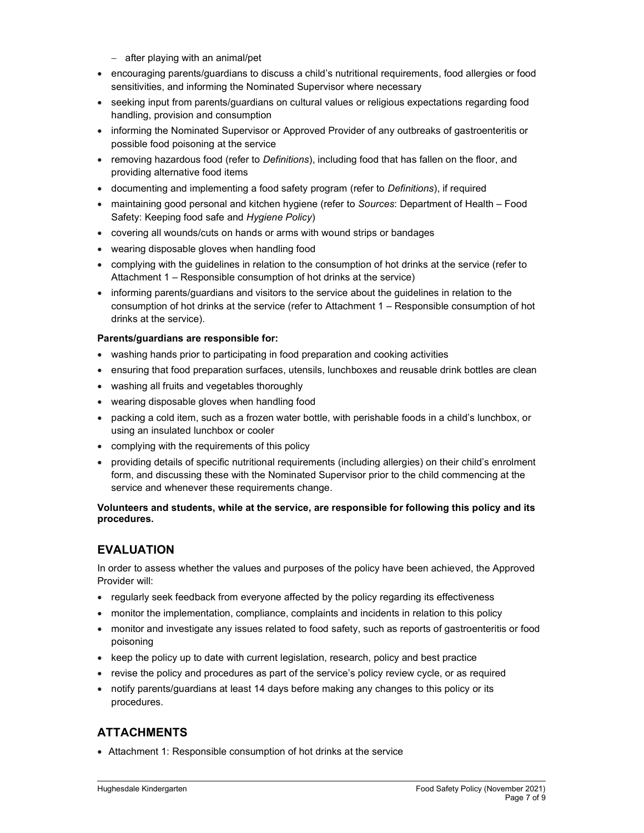- after playing with an animal/pet
- encouraging parents/guardians to discuss a child's nutritional requirements, food allergies or food sensitivities, and informing the Nominated Supervisor where necessary
- seeking input from parents/guardians on cultural values or religious expectations regarding food handling, provision and consumption
- informing the Nominated Supervisor or Approved Provider of any outbreaks of gastroenteritis or possible food poisoning at the service
- removing hazardous food (refer to Definitions), including food that has fallen on the floor, and providing alternative food items
- documenting and implementing a food safety program (refer to Definitions), if required
- maintaining good personal and kitchen hygiene (refer to Sources: Department of Health Food Safety: Keeping food safe and Hygiene Policy)
- covering all wounds/cuts on hands or arms with wound strips or bandages
- wearing disposable gloves when handling food
- complying with the guidelines in relation to the consumption of hot drinks at the service (refer to Attachment 1 – Responsible consumption of hot drinks at the service)
- informing parents/guardians and visitors to the service about the guidelines in relation to the consumption of hot drinks at the service (refer to Attachment 1 – Responsible consumption of hot drinks at the service).

### Parents/guardians are responsible for:

- washing hands prior to participating in food preparation and cooking activities
- ensuring that food preparation surfaces, utensils, lunchboxes and reusable drink bottles are clean
- washing all fruits and vegetables thoroughly
- wearing disposable gloves when handling food
- packing a cold item, such as a frozen water bottle, with perishable foods in a child's lunchbox, or using an insulated lunchbox or cooler
- complying with the requirements of this policy
- providing details of specific nutritional requirements (including allergies) on their child's enrolment form, and discussing these with the Nominated Supervisor prior to the child commencing at the service and whenever these requirements change.

### Volunteers and students, while at the service, are responsible for following this policy and its procedures.

# EVALUATION

In order to assess whether the values and purposes of the policy have been achieved, the Approved Provider will:

- regularly seek feedback from everyone affected by the policy regarding its effectiveness
- monitor the implementation, compliance, complaints and incidents in relation to this policy
- monitor and investigate any issues related to food safety, such as reports of gastroenteritis or food poisoning
- $\bullet$  keep the policy up to date with current legislation, research, policy and best practice
- revise the policy and procedures as part of the service's policy review cycle, or as required
- notify parents/guardians at least 14 days before making any changes to this policy or its procedures.

# ATTACHMENTS

Attachment 1: Responsible consumption of hot drinks at the service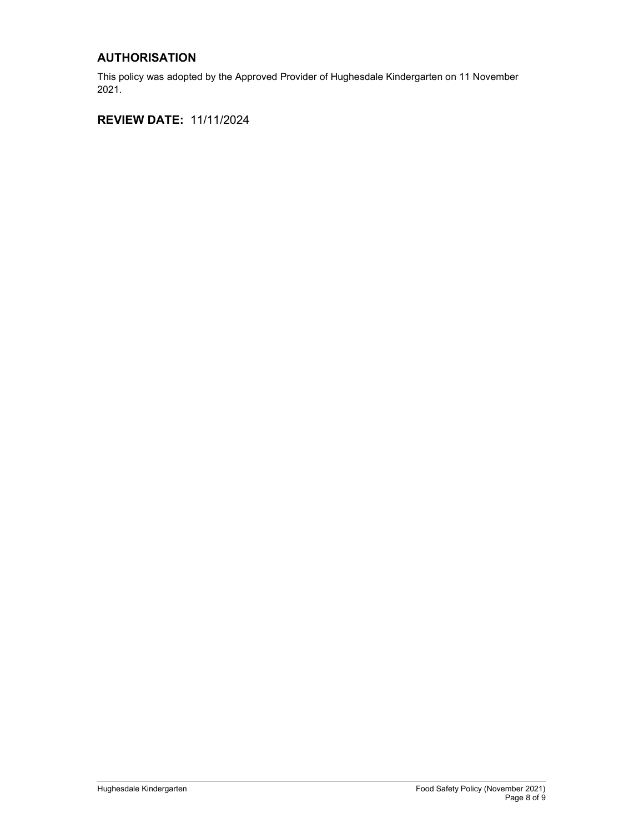# AUTHORISATION

This policy was adopted by the Approved Provider of Hughesdale Kindergarten on 11 November 2021.

REVIEW DATE: 11/11/2024